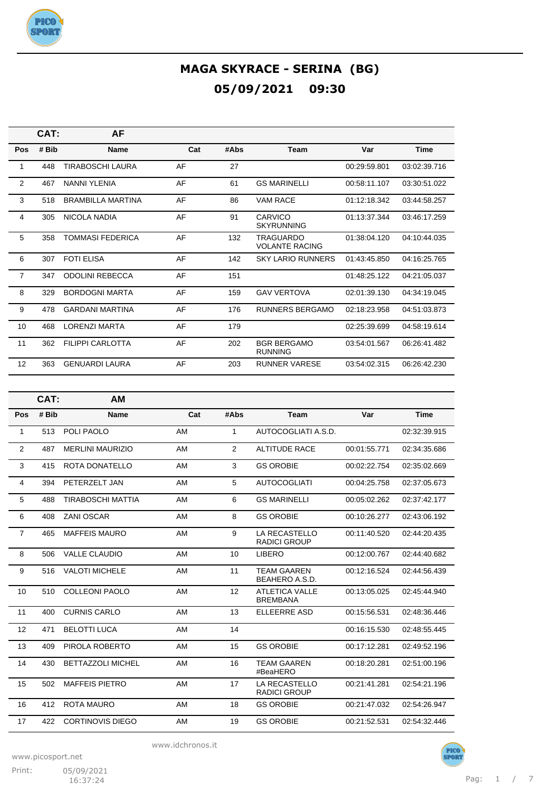

|                | CAT:  | AF                       |     |      |                                      |              |              |
|----------------|-------|--------------------------|-----|------|--------------------------------------|--------------|--------------|
| Pos            | # Bib | <b>Name</b>              | Cat | #Abs | <b>Team</b>                          | Var          | <b>Time</b>  |
| 1              | 448   | TIRABOSCHI LAURA         | AF  | 27   |                                      | 00:29:59.801 | 03:02:39.716 |
| 2              | 467   | <b>NANNI YLENIA</b>      | AF  | 61   | <b>GS MARINELLI</b>                  | 00:58:11.107 | 03:30:51.022 |
| 3              | 518   | <b>BRAMBILLA MARTINA</b> | AF  | 86   | <b>VAM RACE</b>                      | 01:12:18.342 | 03:44:58.257 |
| 4              | 305   | NICOLA NADIA             | AF  | 91   | CARVICO<br><b>SKYRUNNING</b>         | 01:13:37.344 | 03:46:17.259 |
| 5              | 358   | TOMMASI FEDERICA         | AF  | 132  | TRAGUARDO<br><b>VOLANTE RACING</b>   | 01:38:04.120 | 04:10:44.035 |
| 6              | 307   | <b>FOTI ELISA</b>        | AF  | 142  | <b>SKY LARIO RUNNERS</b>             | 01:43:45.850 | 04:16:25.765 |
| $\overline{7}$ | 347   | <b>ODOLINI REBECCA</b>   | AF  | 151  |                                      | 01:48:25.122 | 04:21:05.037 |
| 8              | 329   | <b>BORDOGNI MARTA</b>    | AF  | 159  | <b>GAV VERTOVA</b>                   | 02:01:39.130 | 04:34:19.045 |
| 9              | 478   | <b>GARDANI MARTINA</b>   | AF  | 176  | <b>RUNNERS BERGAMO</b>               | 02:18:23.958 | 04:51:03.873 |
| 10             | 468   | <b>LORENZI MARTA</b>     | AF  | 179  |                                      | 02:25:39.699 | 04:58:19.614 |
| 11             | 362   | <b>FILIPPI CARLOTTA</b>  | AF  | 202  | <b>BGR BERGAMO</b><br><b>RUNNING</b> | 03:54:01.567 | 06:26:41.482 |
| 12             | 363   | <b>GENUARDI LAURA</b>    | AF  | 203  | <b>RUNNER VARESE</b>                 | 03:54:02.315 | 06:26:42.230 |

|                | CAT:  | <b>AM</b>                |     |                |                                          |              |              |
|----------------|-------|--------------------------|-----|----------------|------------------------------------------|--------------|--------------|
| Pos            | # Bib | Name                     | Cat | #Abs           | Team                                     | Var          | <b>Time</b>  |
| $\mathbf{1}$   | 513   | POLI PAOLO               | AM  | $\mathbf{1}$   | AUTOCOGLIATI A.S.D.                      |              | 02:32:39.915 |
| 2              | 487   | <b>MERLINI MAURIZIO</b>  | AM  | $\overline{2}$ | <b>ALTITUDE RACE</b>                     | 00:01:55.771 | 02:34:35.686 |
| 3              | 415   | ROTA DONATELLO           | AM  | 3              | <b>GS OROBIE</b>                         | 00:02:22.754 | 02:35:02.669 |
| $\overline{4}$ | 394   | PETERZELT JAN            | AM  | 5              | <b>AUTOCOGLIATI</b>                      | 00:04:25.758 | 02:37:05.673 |
| 5              | 488   | <b>TIRABOSCHI MATTIA</b> | AM  | 6              | <b>GS MARINELLI</b>                      | 00:05:02.262 | 02:37:42.177 |
| 6              | 408   | <b>ZANI OSCAR</b>        | AM  | 8              | <b>GS OROBIE</b>                         | 00:10:26.277 | 02:43:06.192 |
| $\overline{7}$ | 465   | <b>MAFFEIS MAURO</b>     | AM  | 9              | LA RECASTELLO<br><b>RADICI GROUP</b>     | 00:11:40.520 | 02:44:20.435 |
| 8              | 506   | <b>VALLE CLAUDIO</b>     | AM  | 10             | <b>LIBERO</b>                            | 00:12:00.767 | 02:44:40.682 |
| 9              | 516   | <b>VALOTI MICHELE</b>    | AM  | 11             | <b>TEAM GAAREN</b><br>BEAHERO A.S.D.     | 00:12:16.524 | 02:44:56.439 |
| 10             | 510   | <b>COLLEONI PAOLO</b>    | AM  | 12             | <b>ATLETICA VALLE</b><br><b>BREMBANA</b> | 00:13:05.025 | 02:45:44.940 |
| 11             | 400   | <b>CURNIS CARLO</b>      | AM  | 13             | <b>ELLEERRE ASD</b>                      | 00:15:56.531 | 02:48:36.446 |
| 12             | 471   | <b>BELOTTI LUCA</b>      | AM  | 14             |                                          | 00:16:15.530 | 02:48:55.445 |
| 13             | 409   | PIROLA ROBERTO           | AM  | 15             | <b>GS OROBIE</b>                         | 00:17:12.281 | 02:49:52.196 |
| 14             | 430   | <b>BETTAZZOLI MICHEL</b> | AM  | 16             | <b>TEAM GAAREN</b><br>#BeaHERO           | 00:18:20.281 | 02:51:00.196 |
| 15             | 502   | <b>MAFFEIS PIETRO</b>    | AM  | 17             | LA RECASTELLO<br><b>RADICI GROUP</b>     | 00:21:41.281 | 02:54:21.196 |
| 16             | 412   | <b>ROTA MAURO</b>        | AM  | 18             | <b>GS OROBIE</b>                         | 00:21:47.032 | 02:54:26.947 |
| 17             | 422   | <b>CORTINOVIS DIEGO</b>  | AM  | 19             | <b>GS OROBIE</b>                         | 00:21:52.531 | 02:54:32.446 |

www.idchronos.it

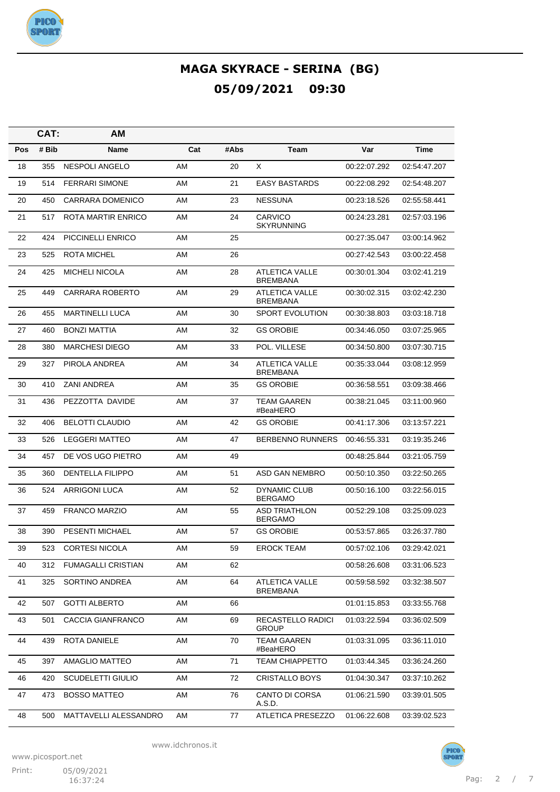

|     | CAT:  | <b>AM</b>                 |     |      |                                          |              |              |
|-----|-------|---------------------------|-----|------|------------------------------------------|--------------|--------------|
| Pos | # Bib | Name                      | Cat | #Abs | Team                                     | Var          | <b>Time</b>  |
| 18  | 355   | <b>NESPOLI ANGELO</b>     | AM  | 20   | X                                        | 00:22:07.292 | 02:54:47.207 |
| 19  | 514   | <b>FERRARI SIMONE</b>     | AM  | 21   | <b>EASY BASTARDS</b>                     | 00:22:08.292 | 02:54:48.207 |
| 20  | 450   | <b>CARRARA DOMENICO</b>   | AM  | 23   | <b>NESSUNA</b>                           | 00:23:18.526 | 02:55:58.441 |
| 21  | 517   | ROTA MARTIR ENRICO        | AM  | 24   | <b>CARVICO</b><br><b>SKYRUNNING</b>      | 00:24:23.281 | 02:57:03.196 |
| 22  | 424   | PICCINELLI ENRICO         | AM  | 25   |                                          | 00:27:35.047 | 03:00:14.962 |
| 23  | 525   | <b>ROTA MICHEL</b>        | AM  | 26   |                                          | 00:27:42.543 | 03:00:22.458 |
| 24  | 425   | <b>MICHELI NICOLA</b>     | AM  | 28   | <b>ATLETICA VALLE</b><br><b>BREMBANA</b> | 00:30:01.304 | 03:02:41.219 |
| 25  | 449   | <b>CARRARA ROBERTO</b>    | AM  | 29   | <b>ATLETICA VALLE</b><br><b>BREMBANA</b> | 00:30:02.315 | 03:02:42.230 |
| 26  | 455   | <b>MARTINELLI LUCA</b>    | AM  | 30   | <b>SPORT EVOLUTION</b>                   | 00:30:38.803 | 03:03:18.718 |
| 27  | 460   | <b>BONZI MATTIA</b>       | AM  | 32   | <b>GS OROBIE</b>                         | 00:34:46.050 | 03:07:25.965 |
| 28  | 380   | <b>MARCHESI DIEGO</b>     | AM  | 33   | POL. VILLESE                             | 00:34:50.800 | 03:07:30.715 |
| 29  | 327   | PIROLA ANDREA             | AM  | 34   | <b>ATLETICA VALLE</b><br><b>BREMBANA</b> | 00:35:33.044 | 03:08:12.959 |
| 30  | 410   | <b>ZANI ANDREA</b>        | AM  | 35   | <b>GS OROBIE</b>                         | 00:36:58.551 | 03:09:38.466 |
| 31  | 436   | PEZZOTTA DAVIDE           | AM  | 37   | <b>TEAM GAAREN</b><br>#BeaHERO           | 00:38:21.045 | 03:11:00.960 |
| 32  | 406   | <b>BELOTTI CLAUDIO</b>    | AM  | 42   | <b>GS OROBIE</b>                         | 00:41:17.306 | 03:13:57.221 |
| 33  | 526   | <b>LEGGERI MATTEO</b>     | AM  | 47   | <b>BERBENNO RUNNERS</b>                  | 00:46:55.331 | 03:19:35.246 |
| 34  | 457   | DE VOS UGO PIETRO         | AM  | 49   |                                          | 00:48:25.844 | 03:21:05.759 |
| 35  | 360   | <b>DENTELLA FILIPPO</b>   | AM  | 51   | ASD GAN NEMBRO                           | 00:50:10.350 | 03:22:50.265 |
| 36  | 524   | <b>ARRIGONI LUCA</b>      | AM  | 52   | <b>DYNAMIC CLUB</b><br><b>BERGAMO</b>    | 00:50:16.100 | 03:22:56.015 |
| 37  | 459   | <b>FRANCO MARZIO</b>      | AM  | 55   | <b>ASD TRIATHLON</b><br><b>BERGAMO</b>   | 00:52:29.108 | 03:25:09.023 |
| 38  | 390   | <b>PESENTI MICHAEL</b>    | AM  | 57   | <b>GS OROBIE</b>                         | 00:53:57.865 | 03:26:37.780 |
| 39  | 523   | <b>CORTESI NICOLA</b>     | AM  | 59   | <b>EROCK TEAM</b>                        | 00:57:02.106 | 03:29:42.021 |
| 40  | 312   | <b>FUMAGALLI CRISTIAN</b> | AM  | 62   |                                          | 00:58:26.608 | 03:31:06.523 |
| 41  | 325   | SORTINO ANDREA            | AM  | 64   | <b>ATLETICA VALLE</b><br><b>BREMBANA</b> | 00:59:58.592 | 03:32:38.507 |
| 42  | 507   | <b>GOTTI ALBERTO</b>      | AM  | 66   |                                          | 01:01:15.853 | 03:33:55.768 |
| 43  | 501   | CACCIA GIANFRANCO         | AM  | 69   | <b>RECASTELLO RADICI</b><br><b>GROUP</b> | 01:03:22.594 | 03:36:02.509 |
| 44  | 439   | <b>ROTA DANIELE</b>       | AM  | 70   | <b>TEAM GAAREN</b><br>#BeaHERO           | 01:03:31.095 | 03:36:11.010 |
| 45  | 397   | AMAGLIO MATTEO            | AM  | 71   | <b>TEAM CHIAPPETTO</b>                   | 01:03:44.345 | 03:36:24.260 |
| 46  | 420   | <b>SCUDELETTI GIULIO</b>  | AM  | 72   | <b>CRISTALLO BOYS</b>                    | 01:04:30.347 | 03:37:10.262 |
| 47  | 473   | <b>BOSSO MATTEO</b>       | AM  | 76   | CANTO DI CORSA<br>A.S.D.                 | 01:06:21.590 | 03:39:01.505 |
| 48  | 500   | MATTAVELLI ALESSANDRO     | AM  | 77   | ATLETICA PRESEZZO                        | 01:06:22.608 | 03:39:02.523 |

www.idchronos.it

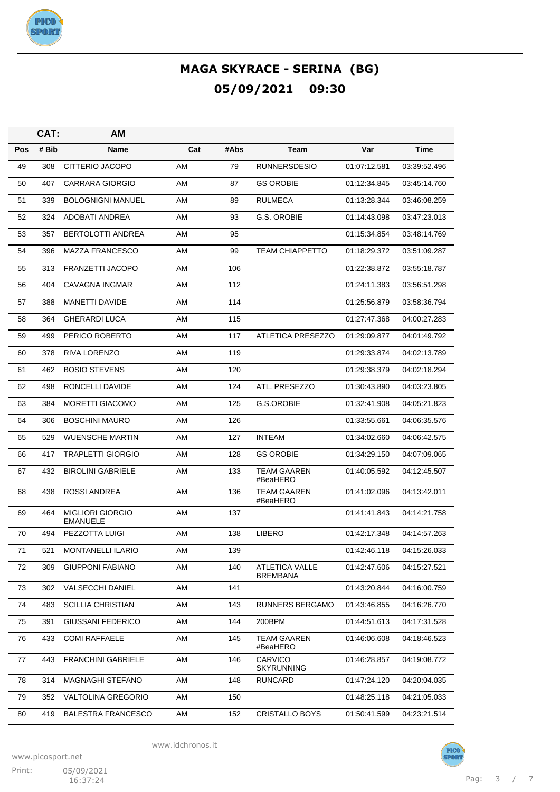

|     | CAT:  | АM                                         |     |      |                                   |              |              |
|-----|-------|--------------------------------------------|-----|------|-----------------------------------|--------------|--------------|
| Pos | # Bib | Name                                       | Cat | #Abs | Team                              | Var          | <b>Time</b>  |
| 49  | 308   | CITTERIO JACOPO                            | AM  | 79   | <b>RUNNERSDESIO</b>               | 01:07:12.581 | 03:39:52.496 |
| 50  | 407   | <b>CARRARA GIORGIO</b>                     | AM  | 87   | <b>GS OROBIE</b>                  | 01:12:34.845 | 03:45:14.760 |
| 51  | 339   | <b>BOLOGNIGNI MANUEL</b>                   | AM  | 89   | <b>RULMECA</b>                    | 01:13:28.344 | 03:46:08.259 |
| 52  | 324   | ADOBATI ANDREA                             | AM  | 93   | G.S. OROBIE                       | 01:14:43.098 | 03:47:23.013 |
| 53  | 357   | BERTOLOTTI ANDREA                          | AM  | 95   |                                   | 01:15:34.854 | 03:48:14.769 |
| 54  | 396   | <b>MAZZA FRANCESCO</b>                     | AM  | 99   | <b>TEAM CHIAPPETTO</b>            | 01:18:29.372 | 03:51:09.287 |
| 55  | 313   | FRANZETTI JACOPO                           | AM  | 106  |                                   | 01:22:38.872 | 03:55:18.787 |
| 56  | 404   | <b>CAVAGNA INGMAR</b>                      | AM  | 112  |                                   | 01:24:11.383 | 03:56:51.298 |
| 57  | 388   | <b>MANETTI DAVIDE</b>                      | AM  | 114  |                                   | 01:25:56.879 | 03:58:36.794 |
| 58  | 364   | <b>GHERARDI LUCA</b>                       | AM  | 115  |                                   | 01:27:47.368 | 04:00:27.283 |
| 59  | 499   | PERICO ROBERTO                             | AM  | 117  | ATLETICA PRESEZZO                 | 01:29:09.877 | 04:01:49.792 |
| 60  | 378   | RIVA LORENZO                               | AM  | 119  |                                   | 01:29:33.874 | 04:02:13.789 |
| 61  | 462   | <b>BOSIO STEVENS</b>                       | AM  | 120  |                                   | 01:29:38.379 | 04:02:18.294 |
| 62  | 498   | RONCELLI DAVIDE                            | AM  | 124  | ATL. PRESEZZO                     | 01:30:43.890 | 04:03:23.805 |
| 63  | 384   | <b>MORETTI GIACOMO</b>                     | AM  | 125  | G.S.OROBIE                        | 01:32:41.908 | 04:05:21.823 |
| 64  | 306   | <b>BOSCHINI MAURO</b>                      | AM  | 126  |                                   | 01:33:55.661 | 04:06:35.576 |
| 65  | 529   | <b>WUENSCHE MARTIN</b>                     | AM  | 127  | <b>INTEAM</b>                     | 01:34:02.660 | 04:06:42.575 |
| 66  | 417   | <b>TRAPLETTI GIORGIO</b>                   | AM  | 128  | <b>GS OROBIE</b>                  | 01:34:29.150 | 04:07:09.065 |
| 67  | 432   | <b>BIROLINI GABRIELE</b>                   | AM  | 133  | <b>TEAM GAAREN</b><br>#BeaHERO    | 01:40:05.592 | 04:12:45.507 |
| 68  | 438   | ROSSI ANDREA                               | AM  | 136  | <b>TEAM GAAREN</b><br>#BeaHERO    | 01:41:02.096 | 04:13:42.011 |
| 69  | 464   | <b>MIGLIORI GIORGIO</b><br><b>EMANUELE</b> | AM  | 137  |                                   | 01:41:41.843 | 04:14:21.758 |
| 70  | 494   | PEZZOTTA LUIGI                             | AM  | 138  | <b>LIBERO</b>                     | 01:42:17.348 | 04:14:57.263 |
| 71  | 521   | <b>MONTANELLI ILARIO</b>                   | AM  | 139  |                                   | 01:42:46.118 | 04:15:26.033 |
| 72  | 309   | <b>GIUPPONI FABIANO</b>                    | AM  | 140  | <b>ATLETICA VALLE</b><br>BREMBANA | 01:42:47.606 | 04:15:27.521 |
| 73  | 302   | <b>VALSECCHI DANIEL</b>                    | AM  | 141  |                                   | 01:43:20.844 | 04:16:00.759 |
| 74  | 483   | <b>SCILLIA CHRISTIAN</b>                   | AM  | 143  | <b>RUNNERS BERGAMO</b>            | 01:43:46.855 | 04:16:26.770 |
| 75  | 391   | <b>GIUSSANI FEDERICO</b>                   | AM  | 144  | 200BPM                            | 01:44:51.613 | 04:17:31.528 |
| 76  | 433   | <b>COMI RAFFAELE</b>                       | AM  | 145  | <b>TEAM GAAREN</b><br>#BeaHERO    | 01:46:06.608 | 04:18:46.523 |
| 77  | 443   | <b>FRANCHINI GABRIELE</b>                  | AM  | 146  | CARVICO<br><b>SKYRUNNING</b>      | 01:46:28.857 | 04:19:08.772 |
| 78  | 314   | MAGNAGHI STEFANO                           | AM  | 148  | <b>RUNCARD</b>                    | 01:47:24.120 | 04:20:04.035 |
| 79  | 352   | <b>VALTOLINA GREGORIO</b>                  | AM  | 150  |                                   | 01:48:25.118 | 04:21:05.033 |
| 80  | 419   | <b>BALESTRA FRANCESCO</b>                  | AM  | 152  | <b>CRISTALLO BOYS</b>             | 01:50:41.599 | 04:23:21.514 |

www.idchronos.it

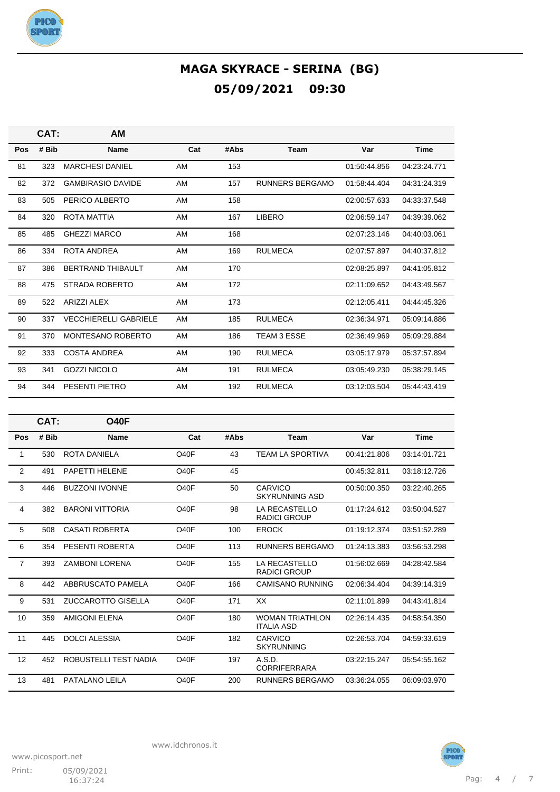

|     | CAT:  | <b>AM</b>                    |     |      |                        |              |              |
|-----|-------|------------------------------|-----|------|------------------------|--------------|--------------|
| Pos | # Bib | Name                         | Cat | #Abs | <b>Team</b>            | Var          | <b>Time</b>  |
| 81  | 323   | <b>MARCHESI DANIEL</b>       | AM  | 153  |                        | 01:50:44.856 | 04:23:24.771 |
| 82  | 372   | <b>GAMBIRASIO DAVIDE</b>     | AM  | 157  | <b>RUNNERS BERGAMO</b> | 01:58:44.404 | 04:31:24.319 |
| 83  | 505   | PERICO ALBERTO               | AM  | 158  |                        | 02:00:57.633 | 04:33:37.548 |
| 84  | 320   | <b>ROTA MATTIA</b>           | AM  | 167  | <b>LIBERO</b>          | 02:06:59.147 | 04:39:39.062 |
| 85  | 485   | <b>GHEZZI MARCO</b>          | AM  | 168  |                        | 02:07:23.146 | 04:40:03.061 |
| 86  | 334   | ROTA ANDREA                  | AM  | 169  | <b>RULMECA</b>         | 02:07:57.897 | 04:40:37.812 |
| 87  | 386   | <b>BERTRAND THIBAULT</b>     | AM  | 170  |                        | 02:08:25.897 | 04:41:05.812 |
| 88  | 475   | STRADA ROBERTO               | AM  | 172  |                        | 02:11:09.652 | 04:43:49.567 |
| 89  | 522   | <b>ARIZZI ALEX</b>           | AM  | 173  |                        | 02:12:05.411 | 04:44:45.326 |
| 90  | 337   | <b>VECCHIERELLI GABRIELE</b> | AM  | 185  | <b>RULMECA</b>         | 02:36:34.971 | 05:09:14.886 |
| 91  | 370   | MONTESANO ROBERTO            | AM  | 186  | <b>TEAM 3 ESSE</b>     | 02:36:49.969 | 05:09:29.884 |
| 92  | 333   | <b>COSTA ANDREA</b>          | AM  | 190  | <b>RULMECA</b>         | 03:05:17.979 | 05:37:57.894 |
| 93  | 341   | <b>GOZZI NICOLO</b>          | AM  | 191  | <b>RULMECA</b>         | 03:05:49.230 | 05:38:29.145 |
| 94  | 344   | PESENTI PIETRO               | AM  | 192  | <b>RULMECA</b>         | 03:12:03.504 | 05:44:43.419 |

|     | CAT:  | <b>O40F</b>              |                   |      |                                             |              |              |
|-----|-------|--------------------------|-------------------|------|---------------------------------------------|--------------|--------------|
| Pos | # Bib | <b>Name</b>              | Cat               | #Abs | Team                                        | Var          | <b>Time</b>  |
| 1   | 530   | ROTA DANIELA             | O <sub>40</sub> F | 43   | <b>TEAM LA SPORTIVA</b>                     | 00:41:21.806 | 03:14:01.721 |
| 2   | 491   | <b>PAPETTI HELENE</b>    | O40F              | 45   |                                             | 00:45:32.811 | 03:18:12.726 |
| 3   | 446   | <b>BUZZONI IVONNE</b>    | O40F              | 50   | CARVICO<br><b>SKYRUNNING ASD</b>            | 00:50:00.350 | 03:22:40.265 |
| 4   | 382   | <b>BARONI VITTORIA</b>   | O <sub>4</sub> 0F | 98   | <b>LA RECASTELLO</b><br>RADICI GROUP        | 01:17:24.612 | 03:50:04.527 |
| 5   | 508   | <b>CASATI ROBERTA</b>    | O <sub>4</sub> 0F | 100  | <b>EROCK</b>                                | 01:19:12.374 | 03:51:52.289 |
| 6   | 354   | PESENTI ROBERTA          | O <sub>40</sub> F | 113  | <b>RUNNERS BERGAMO</b>                      | 01:24:13.383 | 03:56:53.298 |
| 7   | 393   | <b>ZAMBONI LORENA</b>    | O40F              | 155  | LA RECASTELLO<br><b>RADICI GROUP</b>        | 01:56:02.669 | 04:28:42.584 |
| 8   | 442   | <b>ABBRUSCATO PAMELA</b> | O <sub>40</sub> F | 166  | <b>CAMISANO RUNNING</b>                     | 02:06:34.404 | 04:39:14.319 |
| 9   | 531   | ZUCCAROTTO GISELLA       | O40F              | 171  | XX                                          | 02:11:01.899 | 04:43:41.814 |
| 10  | 359   | <b>AMIGONI ELENA</b>     | O <sub>4</sub> 0F | 180  | <b>WOMAN TRIATHLON</b><br><b>ITALIA ASD</b> | 02:26:14.435 | 04:58:54.350 |
| 11  | 445   | <b>DOLCI ALESSIA</b>     | O <sub>4</sub> 0F | 182  | CARVICO<br><b>SKYRUNNING</b>                | 02:26:53.704 | 04:59:33.619 |
| 12  | 452   | ROBUSTELLI TEST NADIA    | O <sub>4</sub> 0F | 197  | A.S.D.<br><b>CORRIFERRARA</b>               | 03:22:15.247 | 05:54:55.162 |
| 13  | 481   | PATALANO LEILA           | O <sub>40</sub> F | 200  | <b>RUNNERS BERGAMO</b>                      | 03:36:24.055 | 06:09:03.970 |

Print: 05/09/2021  $16:37:24$ 

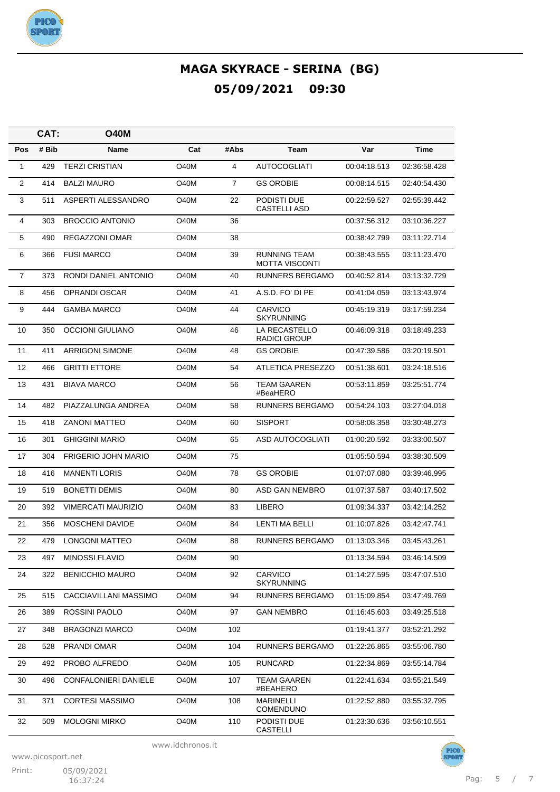

|                | CAT:  | <b>O40M</b>                |             |                |                                              |              |              |
|----------------|-------|----------------------------|-------------|----------------|----------------------------------------------|--------------|--------------|
| Pos            | # Bib | Name                       | Cat         | #Abs           | Team                                         | Var          | Time         |
| 1              | 429   | <b>TERZI CRISTIAN</b>      | <b>O40M</b> | 4              | <b>AUTOCOGLIATI</b>                          | 00:04:18.513 | 02:36:58.428 |
| $\mathbf{2}$   | 414   | <b>BALZI MAURO</b>         | <b>O40M</b> | $\overline{7}$ | <b>GS OROBIE</b>                             | 00:08:14.515 | 02:40:54.430 |
| 3              | 511   | ASPERTI ALESSANDRO         | <b>O40M</b> | 22             | PODISTI DUE<br><b>CASTELLI ASD</b>           | 00:22:59.527 | 02:55:39.442 |
| 4              | 303   | <b>BROCCIO ANTONIO</b>     | O40M        | 36             |                                              | 00:37:56.312 | 03:10:36.227 |
| 5              | 490   | REGAZZONI OMAR             | <b>O40M</b> | 38             |                                              | 00:38:42.799 | 03:11:22.714 |
| 6              | 366   | <b>FUSI MARCO</b>          | O40M        | 39             | <b>RUNNING TEAM</b><br><b>MOTTA VISCONTI</b> | 00:38:43.555 | 03:11:23.470 |
| $\overline{7}$ | 373   | RONDI DANIEL ANTONIO       | <b>O40M</b> | 40             | <b>RUNNERS BERGAMO</b>                       | 00:40:52.814 | 03:13:32.729 |
| 8              | 456   | OPRANDI OSCAR              | <b>O40M</b> | 41             | A.S.D. FO' DI PE                             | 00:41:04.059 | 03:13:43.974 |
| 9              | 444   | <b>GAMBA MARCO</b>         | <b>O40M</b> | 44             | <b>CARVICO</b><br><b>SKYRUNNING</b>          | 00:45:19.319 | 03:17:59.234 |
| 10             | 350   | <b>OCCIONI GIULIANO</b>    | <b>O40M</b> | 46             | LA RECASTELLO<br><b>RADICI GROUP</b>         | 00:46:09.318 | 03:18:49.233 |
| 11             | 411   | <b>ARRIGONI SIMONE</b>     | <b>O40M</b> | 48             | <b>GS OROBIE</b>                             | 00:47:39.586 | 03:20:19.501 |
| 12             | 466   | <b>GRITTI ETTORE</b>       | <b>O40M</b> | 54             | ATLETICA PRESEZZO                            | 00:51:38.601 | 03:24:18.516 |
| 13             | 431   | <b>BIAVA MARCO</b>         | <b>O40M</b> | 56             | <b>TEAM GAAREN</b><br>#BeaHERO               | 00:53:11.859 | 03:25:51.774 |
| 14             | 482   | PIAZZALUNGA ANDREA         | <b>O40M</b> | 58             | <b>RUNNERS BERGAMO</b>                       | 00:54:24.103 | 03:27:04.018 |
| 15             | 418   | <b>ZANONI MATTEO</b>       | <b>O40M</b> | 60             | <b>SISPORT</b>                               | 00:58:08.358 | 03:30:48.273 |
| 16             | 301   | <b>GHIGGINI MARIO</b>      | <b>O40M</b> | 65             | ASD AUTOCOGLIATI                             | 01:00:20.592 | 03:33:00.507 |
| 17             | 304   | <b>FRIGERIO JOHN MARIO</b> | <b>O40M</b> | 75             |                                              | 01:05:50.594 | 03:38:30.509 |
| 18             | 416   | <b>MANENTI LORIS</b>       | <b>O40M</b> | 78             | <b>GS OROBIE</b>                             | 01:07:07.080 | 03:39:46.995 |
| 19             | 519   | <b>BONETTI DEMIS</b>       | <b>O40M</b> | 80             | ASD GAN NEMBRO                               | 01:07:37.587 | 03:40:17.502 |
| 20             | 392   | <b>VIMERCATI MAURIZIO</b>  | <b>O40M</b> | 83             | <b>LIBERO</b>                                | 01:09:34.337 | 03:42:14.252 |
| 21             | 356   | <b>MOSCHENI DAVIDE</b>     | <b>O40M</b> | 84             | LENTI MA BELLI                               | 01:10:07.826 | 03:42:47.741 |
| 22             | 479   | <b>LONGONI MATTEO</b>      | <b>O40M</b> | 88             | <b>RUNNERS BERGAMO</b>                       | 01:13:03.346 | 03:45:43.261 |
| 23             | 497   | <b>MINOSSI FLAVIO</b>      | O40M        | 90             |                                              | 01:13:34.594 | 03:46:14.509 |
| 24             | 322   | <b>BENICCHIO MAURO</b>     | O40M        | 92             | CARVICO<br><b>SKYRUNNING</b>                 | 01:14:27.595 | 03:47:07.510 |
| 25             | 515   | CACCIAVILLANI MASSIMO      | O40M        | 94             | <b>RUNNERS BERGAMO</b>                       | 01:15:09.854 | 03:47:49.769 |
| 26             | 389   | ROSSINI PAOLO              | O40M        | 97             | <b>GAN NEMBRO</b>                            | 01:16:45.603 | 03:49:25.518 |
| 27             | 348   | <b>BRAGONZI MARCO</b>      | O40M        | 102            |                                              | 01:19:41.377 | 03:52:21.292 |
| 28             | 528   | PRANDI OMAR                | O40M        | 104            | <b>RUNNERS BERGAMO</b>                       | 01:22:26.865 | 03:55:06.780 |
| 29             | 492   | PROBO ALFREDO              | O40M        | 105            | <b>RUNCARD</b>                               | 01:22:34.869 | 03:55:14.784 |
| 30             | 496   | CONFALONIERI DANIELE       | O40M        | 107            | TEAM GAAREN<br>#BEAHERO                      | 01:22:41.634 | 03:55:21.549 |
| 31             | 371   | <b>CORTESI MASSIMO</b>     | O40M        | 108            | <b>MARINELLI</b><br><b>COMENDUNO</b>         | 01:22:52.880 | 03:55:32.795 |
| 32             | 509   | <b>MOLOGNI MIRKO</b>       | O40M        | 110            | PODISTI DUE<br>CASTELLI                      | 01:23:30.636 | 03:56:10.551 |

www.idchronos.it

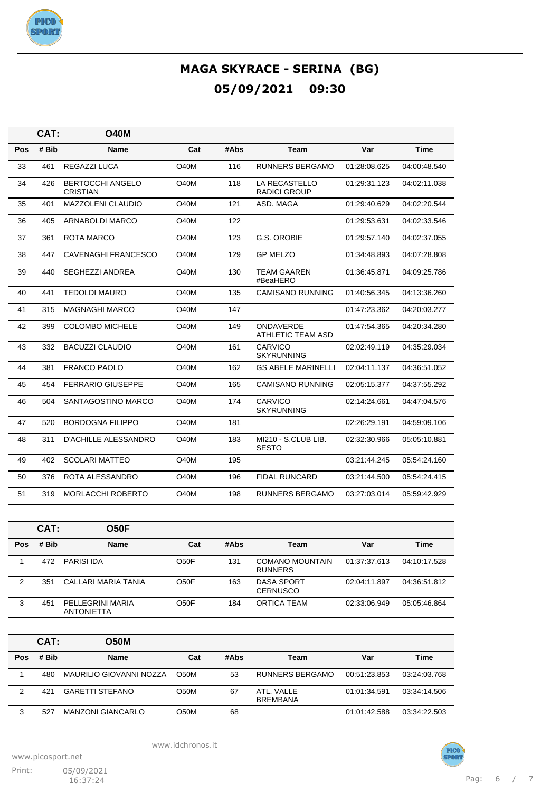

|     | CAT:  | <b>O40M</b>                                |                   |      |                                      |              |              |
|-----|-------|--------------------------------------------|-------------------|------|--------------------------------------|--------------|--------------|
| Pos | # Bib | Name                                       | Cat               | #Abs | <b>Team</b>                          | Var          | <b>Time</b>  |
| 33  | 461   | <b>REGAZZI LUCA</b>                        | <b>O40M</b>       | 116  | <b>RUNNERS BERGAMO</b>               | 01:28:08.625 | 04:00:48.540 |
| 34  | 426   | <b>BERTOCCHI ANGELO</b><br><b>CRISTIAN</b> | <b>O40M</b>       | 118  | LA RECASTELLO<br><b>RADICI GROUP</b> | 01.29.31.123 | 04:02:11.038 |
| 35  | 401   | MAZZOLENI CLAUDIO                          | <b>O40M</b>       | 121  | ASD. MAGA                            | 01:29:40.629 | 04:02:20.544 |
| 36  | 405   | ARNABOLDI MARCO                            | <b>O40M</b>       | 122  |                                      | 01:29:53.631 | 04:02:33.546 |
| 37  | 361   | <b>ROTA MARCO</b>                          | <b>O40M</b>       | 123  | G.S. OROBIE                          | 01:29:57.140 | 04:02:37.055 |
| 38  | 447   | <b>CAVENAGHI FRANCESCO</b>                 | <b>O40M</b>       | 129  | <b>GP MELZO</b>                      | 01:34:48.893 | 04:07:28.808 |
| 39  | 440   | <b>SEGHEZZI ANDREA</b>                     | <b>O40M</b>       | 130  | <b>TEAM GAAREN</b><br>#BeaHERO       | 01:36:45.871 | 04:09:25.786 |
| 40  | 441   | <b>TEDOLDI MAURO</b>                       | O40M              | 135  | <b>CAMISANO RUNNING</b>              | 01:40:56.345 | 04:13:36.260 |
| 41  | 315   | <b>MAGNAGHI MARCO</b>                      | <b>O40M</b>       | 147  |                                      | 01:47:23.362 | 04:20:03.277 |
| 42  | 399   | <b>COLOMBO MICHELE</b>                     | <b>O40M</b>       | 149  | ONDAVERDE<br>ATHLETIC TEAM ASD       | 01:47:54.365 | 04:20:34.280 |
| 43  | 332   | <b>BACUZZI CLAUDIO</b>                     | <b>O40M</b>       | 161  | CARVICO<br><b>SKYRUNNING</b>         | 02:02:49.119 | 04:35:29.034 |
| 44  | 381   | <b>FRANCO PAOLO</b>                        | O <sub>40</sub> M | 162  | <b>GS ABELE MARINELLI</b>            | 02:04:11.137 | 04:36:51.052 |
| 45  | 454   | <b>FERRARIO GIUSEPPE</b>                   | <b>O40M</b>       | 165  | <b>CAMISANO RUNNING</b>              | 02:05:15.377 | 04:37:55.292 |
| 46  | 504   | SANTAGOSTINO MARCO                         | <b>O40M</b>       | 174  | CARVICO<br><b>SKYRUNNING</b>         | 02:14:24.661 | 04:47:04.576 |
| 47  | 520   | <b>BORDOGNA FILIPPO</b>                    | <b>O40M</b>       | 181  |                                      | 02:26:29.191 | 04:59:09.106 |
| 48  | 311   | <b>D'ACHILLE ALESSANDRO</b>                | <b>O40M</b>       | 183  | MI210 - S.CLUB LIB.<br><b>SESTO</b>  | 02:32:30.966 | 05:05:10.881 |
| 49  | 402   | <b>SCOLARI MATTEO</b>                      | <b>O40M</b>       | 195  |                                      | 03:21:44.245 | 05:54:24.160 |
| 50  | 376   | ROTA ALESSANDRO                            | O40M              | 196  | <b>FIDAL RUNCARD</b>                 | 03:21:44.500 | 05:54:24.415 |
| 51  | 319   | <b>MORLACCHI ROBERTO</b>                   | <b>O40M</b>       | 198  | <b>RUNNERS BERGAMO</b>               | 03:27:03.014 | 05:59:42.929 |

|            | CAT:  | <b>O50F</b>                           |                   |      |                                          |              |              |
|------------|-------|---------------------------------------|-------------------|------|------------------------------------------|--------------|--------------|
| <b>Pos</b> | # Bib | <b>Name</b>                           | Cat               | #Abs | Team                                     | Var          | Time         |
|            | 472   | <b>PARISI IDA</b>                     | O50F              | 131  | <b>COMANO MOUNTAIN</b><br><b>RUNNERS</b> | 01:37:37.613 | 04:10:17.528 |
| 2          | 351   | CALLARI MARIA TANIA                   | O50F              | 163  | <b>DASA SPORT</b><br><b>CERNUSCO</b>     | 02:04:11.897 | 04:36:51.812 |
| 3          | 451   | PELLEGRINI MARIA<br><b>ANTONIETTA</b> | O <sub>50</sub> F | 184  | ORTICA TEAM                              | 02:33:06.949 | 05:05:46.864 |

|            | CAT:  | <b>O50M</b>              |                   |      |                             |              |              |
|------------|-------|--------------------------|-------------------|------|-----------------------------|--------------|--------------|
| <b>Pos</b> | # Bib | <b>Name</b>              | Cat               | #Abs | Team                        | Var          | Time         |
|            | 480   | MAURILIO GIOVANNI NOZZA  | O <sub>50</sub> M | 53   | RUNNERS BERGAMO             | 00:51:23.853 | 03:24:03.768 |
| າ          | 421   | <b>GARETTI STEFANO</b>   | <b>O50M</b>       | 67   | ATIVALLE<br><b>BREMBANA</b> | 01:01:34.591 | 03:34:14.506 |
| 3          | 527   | <b>MANZONI GIANCARLO</b> | <b>O50M</b>       | 68   |                             | 01:01:42.588 | 03:34:22.503 |